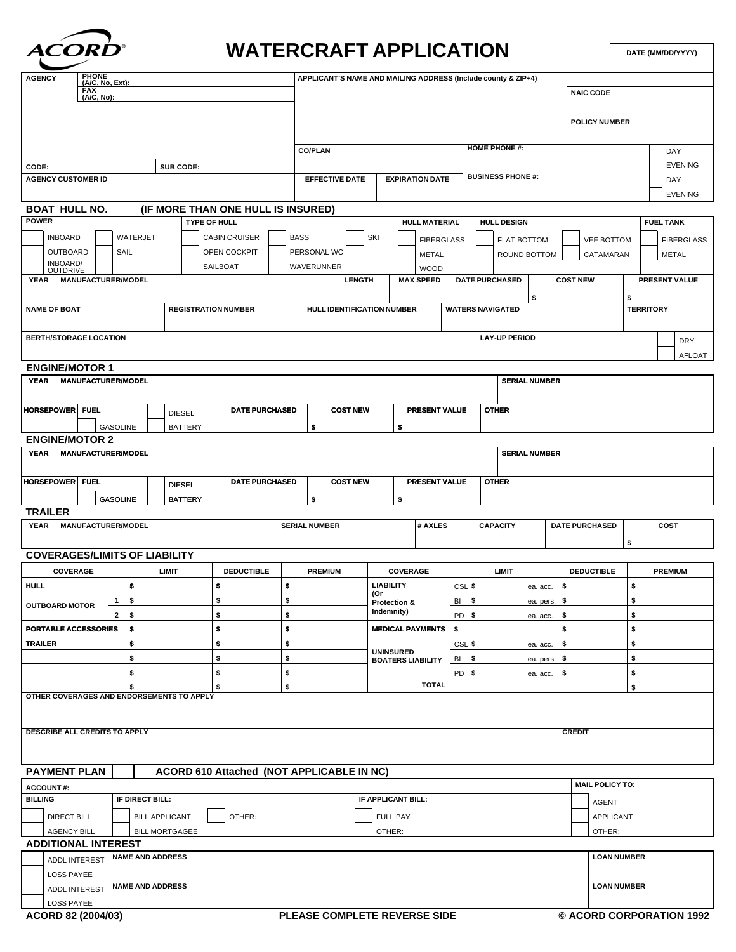

## **WATERCRAFT APPLICATION**

**DATE (MM/DD/YYYY)**

| <b>PHONE</b><br><b>AGENCY</b>                                    |                                                             |  |                 |                      |                 | APPLICANT'S NAME AND MAILING ADDRESS (Include county & ZIP+4) |                            |                                              |                            |                                 |                  |                      |                        |                       |                    |                               |                   |                        |                   |                      |                  |                |  |  |  |
|------------------------------------------------------------------|-------------------------------------------------------------|--|-----------------|----------------------|-----------------|---------------------------------------------------------------|----------------------------|----------------------------------------------|----------------------------|---------------------------------|------------------|----------------------|------------------------|-----------------------|--------------------|-------------------------------|-------------------|------------------------|-------------------|----------------------|------------------|----------------|--|--|--|
| (A/C, No, Ext):<br>FAX<br>(A/C, No):                             |                                                             |  |                 |                      |                 |                                                               |                            |                                              |                            |                                 |                  |                      |                        |                       |                    |                               | <b>NAIC CODE</b>  |                        |                   |                      |                  |                |  |  |  |
|                                                                  |                                                             |  |                 |                      |                 |                                                               |                            |                                              |                            |                                 |                  |                      |                        |                       |                    |                               |                   |                        |                   |                      |                  |                |  |  |  |
|                                                                  |                                                             |  |                 |                      |                 |                                                               |                            |                                              |                            |                                 |                  |                      |                        |                       |                    |                               |                   |                        |                   | <b>POLICY NUMBER</b> |                  |                |  |  |  |
|                                                                  |                                                             |  |                 |                      |                 |                                                               |                            |                                              |                            |                                 |                  |                      |                        |                       |                    |                               |                   |                        |                   |                      |                  |                |  |  |  |
|                                                                  |                                                             |  |                 |                      |                 |                                                               |                            |                                              | <b>CO/PLAN</b>             |                                 |                  |                      |                        |                       |                    | <b>HOME PHONE #:</b>          |                   |                        |                   |                      |                  | DAY            |  |  |  |
| CODE:                                                            |                                                             |  |                 |                      |                 |                                                               |                            |                                              |                            |                                 |                  |                      |                        |                       |                    |                               |                   |                        |                   |                      |                  | <b>EVENING</b> |  |  |  |
| SUB CODE:<br><b>AGENCY CUSTOMER ID</b>                           |                                                             |  |                 |                      |                 |                                                               |                            |                                              |                            | <b>EFFECTIVE DATE</b>           |                  |                      | <b>EXPIRATION DATE</b> |                       |                    | <b>BUSINESS PHONE #:</b>      |                   |                        |                   |                      |                  | DAY            |  |  |  |
|                                                                  |                                                             |  |                 |                      |                 |                                                               |                            |                                              |                            |                                 |                  |                      |                        |                       |                    |                               |                   |                        |                   |                      |                  | <b>EVENING</b> |  |  |  |
| <b>BOAT HULL NO.</b><br>(IF MORE THAN ONE HULL IS INSURED)       |                                                             |  |                 |                      |                 |                                                               |                            |                                              |                            |                                 |                  |                      |                        |                       |                    |                               |                   |                        |                   |                      |                  |                |  |  |  |
| <b>POWER</b>                                                     |                                                             |  |                 |                      |                 |                                                               |                            |                                              |                            |                                 |                  | <b>HULL MATERIAL</b> |                        |                       |                    | <b>HULL DESIGN</b>            |                   |                        |                   |                      | <b>FUEL TANK</b> |                |  |  |  |
|                                                                  | TYPE OF HULL<br><b>INBOARD</b><br>WATERJET<br>CABIN CRUISER |  |                 |                      |                 |                                                               | <b>BASS</b>                |                                              |                            |                                 | SKI              |                      |                        |                       |                    |                               |                   |                        |                   |                      |                  |                |  |  |  |
|                                                                  | OUTBOARD<br>SAIL                                            |  |                 |                      |                 |                                                               | PERSONAL WC                |                                              | <b>FIBERGLASS</b>          |                                 |                  | FLAT BOTTOM          |                        |                       | <b>VEE BOTTOM</b>  |                               |                   |                        | <b>FIBERGLASS</b> |                      |                  |                |  |  |  |
|                                                                  | OPEN COCKPIT                                                |  |                 |                      |                 |                                                               |                            |                                              | <b>METAL</b>               |                                 |                  |                      | ROUND BOTTOM           |                       | CATAMARAN          |                               |                   | <b>METAL</b>           |                   |                      |                  |                |  |  |  |
| INBOARD/<br>OUTDRIVE<br>SAILBOAT<br>MANUFACTURER/MODEL           |                                                             |  |                 |                      |                 | WAVERUNNER<br><b>LENGTH</b>                                   |                            |                                              |                            | <b>WOOD</b><br><b>MAX SPEED</b> |                  |                      |                        |                       | <b>COST NEW</b>    |                               |                   | PRESENT VALUE          |                   |                      |                  |                |  |  |  |
| YEAR                                                             |                                                             |  |                 |                      |                 |                                                               |                            |                                              |                            |                                 |                  |                      |                        | <b>DATE PURCHASED</b> |                    |                               |                   |                        |                   |                      |                  |                |  |  |  |
|                                                                  | <b>NAME OF BOAT</b>                                         |  |                 |                      |                 |                                                               | <b>REGISTRATION NUMBER</b> |                                              |                            |                                 |                  |                      |                        |                       |                    | \$<br><b>WATERS NAVIGATED</b> |                   |                        |                   | \$                   |                  |                |  |  |  |
|                                                                  |                                                             |  |                 |                      |                 |                                                               |                            |                                              | HULL IDENTIFICATION NUMBER |                                 |                  |                      |                        |                       |                    |                               |                   | <b>TERRITORY</b>       |                   |                      |                  |                |  |  |  |
|                                                                  | <b>BERTH/STORAGE LOCATION</b>                               |  |                 |                      |                 |                                                               |                            |                                              |                            |                                 |                  |                      |                        |                       |                    |                               |                   |                        |                   |                      |                  |                |  |  |  |
|                                                                  |                                                             |  |                 |                      |                 |                                                               |                            |                                              |                            |                                 |                  |                      |                        |                       |                    | <b>LAY-UP PERIOD</b>          |                   |                        |                   |                      |                  | <b>DRY</b>     |  |  |  |
|                                                                  |                                                             |  |                 |                      |                 |                                                               |                            |                                              |                            |                                 |                  |                      |                        |                       |                    |                               |                   |                        |                   |                      |                  | AFLOAT         |  |  |  |
| <b>ENGINE/MOTOR 1</b><br><b>MANUFACTURER/MODEL</b>               |                                                             |  |                 |                      |                 |                                                               |                            |                                              |                            |                                 |                  |                      |                        |                       |                    |                               |                   |                        |                   |                      |                  |                |  |  |  |
| <b>YEAR</b>                                                      |                                                             |  |                 |                      |                 |                                                               |                            |                                              |                            |                                 |                  |                      |                        |                       |                    | <b>SERIAL NUMBER</b>          |                   |                        |                   |                      |                  |                |  |  |  |
|                                                                  |                                                             |  |                 |                      |                 |                                                               | <b>COST NEW</b>            |                                              |                            |                                 |                  |                      |                        |                       |                    |                               |                   |                        |                   |                      |                  |                |  |  |  |
| <b>HORSEPOWER FUEL</b>                                           |                                                             |  | <b>DIESEL</b>   |                      |                 | <b>DATE PURCHASED</b>                                         |                            |                                              | PRESENT VALUE              |                                 |                  | <b>OTHER</b>         |                        |                       |                    |                               |                   |                        |                   |                      |                  |                |  |  |  |
| <b>GASOLINE</b><br><b>BATTERY</b>                                |                                                             |  |                 |                      |                 | \$<br>\$                                                      |                            |                                              |                            |                                 |                  |                      |                        |                       |                    |                               |                   |                        |                   |                      |                  |                |  |  |  |
|                                                                  | <b>ENGINE/MOTOR 2</b>                                       |  |                 |                      |                 |                                                               |                            |                                              |                            |                                 |                  |                      |                        |                       |                    |                               |                   |                        |                   |                      |                  |                |  |  |  |
| <b>YEAR</b>                                                      | <b>MANUFACTURER/MODEL</b>                                   |  |                 |                      |                 |                                                               |                            |                                              |                            |                                 |                  |                      |                        |                       |                    | <b>SERIAL NUMBER</b>          |                   |                        |                   |                      |                  |                |  |  |  |
|                                                                  |                                                             |  |                 |                      |                 |                                                               |                            |                                              |                            |                                 |                  |                      |                        |                       |                    |                               |                   |                        |                   |                      |                  |                |  |  |  |
| <b>HORSEPOWER FUEL</b><br><b>DATE PURCHASED</b><br><b>DIESEL</b> |                                                             |  |                 |                      | <b>COST NEW</b> |                                                               | PRESENT VALUE              |                                              |                            |                                 | <b>OTHER</b>     |                      |                        |                       |                    |                               |                   |                        |                   |                      |                  |                |  |  |  |
|                                                                  |                                                             |  | <b>GASOLINE</b> |                      |                 | <b>BATTERY</b>                                                |                            |                                              | \$                         |                                 |                  | \$                   |                        |                       |                    |                               |                   |                        |                   |                      |                  |                |  |  |  |
| <b>TRAILER</b>                                                   |                                                             |  |                 |                      |                 |                                                               |                            |                                              |                            |                                 |                  |                      |                        |                       |                    |                               |                   |                        |                   |                      |                  |                |  |  |  |
| <b>YEAR</b><br><b>MANUFACTURER/MODEL</b>                         |                                                             |  |                 | <b>SERIAL NUMBER</b> |                 |                                                               |                            | # AXLES                                      |                            | <b>CAPACITY</b>                 |                  |                      | <b>DATE PURCHASED</b>  |                       | COST               |                               |                   |                        |                   |                      |                  |                |  |  |  |
|                                                                  |                                                             |  |                 |                      |                 |                                                               |                            |                                              |                            |                                 |                  |                      |                        |                       |                    |                               | \$                |                        |                   |                      |                  |                |  |  |  |
|                                                                  | <b>COVERAGES/LIMITS OF LIABILITY</b>                        |  |                 |                      |                 |                                                               |                            |                                              |                            |                                 |                  |                      |                        |                       |                    |                               |                   |                        |                   |                      |                  |                |  |  |  |
|                                                                  | <b>COVERAGE</b>                                             |  |                 |                      | <b>LIMIT</b>    |                                                               | <b>DEDUCTIBLE</b>          |                                              | <b>PREMIUM</b>             |                                 | COVERAGE         |                      |                        | LIMIT                 |                    |                               | <b>DEDUCTIBLE</b> |                        |                   | <b>PREMIUM</b>       |                  |                |  |  |  |
| <b>HULL</b>                                                      |                                                             |  |                 | \$                   |                 |                                                               | \$                         | \$                                           |                            |                                 | <b>LIABILITY</b> |                      |                        | CSL \$                | ea. acc.           |                               |                   | \$                     | \$                |                      |                  |                |  |  |  |
| <b>OUTBOARD MOTOR</b>                                            |                                                             |  | $\mathbf{1}$    | \$                   |                 | \$                                                            | \$                         |                                              |                            | (Or                             | Protection &     |                      | $BI$ \$                | ea. pers.             |                    |                               | \$                |                        |                   | \$                   |                  |                |  |  |  |
|                                                                  |                                                             |  | $2 \mid$ \$     |                      |                 |                                                               | \$<br>\$                   |                                              |                            |                                 | Indemnity)       |                      |                        | PD \$                 |                    |                               | ea. acc.          | \$                     |                   | \$                   |                  |                |  |  |  |
| $\bullet$<br><b>PORTABLE ACCESSORIES</b><br>s.<br>\$             |                                                             |  |                 |                      |                 |                                                               |                            | <b>MEDICAL PAYMENTS</b>                      |                            |                                 | S.               |                      |                        | \$                    |                    |                               | \$                |                        |                   |                      |                  |                |  |  |  |
| $\sqrt{2}$<br><b>TRAILER</b><br>\$<br>\$                         |                                                             |  |                 |                      |                 |                                                               |                            |                                              |                            |                                 |                  | CSL \$<br>ea. acc.   |                        |                       | \$                 |                               |                   | \$                     |                   |                      |                  |                |  |  |  |
| \$<br>\$                                                         |                                                             |  |                 |                      | \$              |                                                               |                            | <b>UNINSURED</b><br><b>BOATERS LIABILITY</b> |                            |                                 | $BI$ \$          |                      | ea. pers.              |                       |                    | \$                            |                   |                        | \$                |                      |                  |                |  |  |  |
| \$                                                               |                                                             |  |                 | \$                   | \$              |                                                               |                            |                                              |                            |                                 | PD \$            |                      |                        | ea. acc.              | \$                 |                               | \$                |                        |                   |                      |                  |                |  |  |  |
| \$<br>\$                                                         |                                                             |  |                 |                      |                 |                                                               |                            |                                              | <b>TOTAL</b>               |                                 |                  |                      |                        |                       |                    |                               | \$                |                        |                   |                      |                  |                |  |  |  |
|                                                                  | OTHER COVERAGES AND ENDORSEMENTS TO APPLY                   |  |                 |                      |                 |                                                               |                            |                                              |                            |                                 |                  |                      |                        |                       |                    |                               |                   |                        |                   |                      |                  |                |  |  |  |
|                                                                  |                                                             |  |                 |                      |                 |                                                               |                            |                                              |                            |                                 |                  |                      |                        |                       |                    |                               |                   |                        |                   |                      |                  |                |  |  |  |
|                                                                  |                                                             |  |                 |                      |                 |                                                               |                            |                                              |                            |                                 |                  |                      |                        |                       |                    |                               |                   |                        |                   |                      |                  |                |  |  |  |
| DESCRIBE ALL CREDITS TO APPLY                                    |                                                             |  |                 |                      |                 |                                                               |                            |                                              |                            |                                 |                  |                      |                        |                       |                    |                               |                   | <b>CREDIT</b>          |                   |                      |                  |                |  |  |  |
|                                                                  |                                                             |  |                 |                      |                 |                                                               |                            |                                              |                            |                                 |                  |                      |                        |                       |                    |                               |                   |                        |                   |                      |                  |                |  |  |  |
| <b>PAYMENT PLAN</b><br>ACORD 610 Attached (NOT APPLICABLE IN NC) |                                                             |  |                 |                      |                 |                                                               |                            |                                              |                            |                                 |                  |                      |                        |                       |                    |                               |                   |                        |                   |                      |                  |                |  |  |  |
| <b>ACCOUNT#:</b>                                                 |                                                             |  |                 |                      |                 |                                                               |                            |                                              |                            |                                 |                  |                      |                        |                       |                    |                               |                   | <b>MAIL POLICY TO:</b> |                   |                      |                  |                |  |  |  |
| <b>BILLING</b><br>IF DIRECT BILL:                                |                                                             |  |                 |                      |                 | IF APPLICANT BILL:                                            |                            |                                              |                            |                                 |                  |                      |                        |                       | <b>AGENT</b>       |                               |                   |                        |                   |                      |                  |                |  |  |  |
| OTHER:<br><b>DIRECT BILL</b><br><b>BILL APPLICANT</b>            |                                                             |  |                 |                      |                 | <b>FULL PAY</b>                                               |                            |                                              |                            |                                 |                  |                      |                        |                       |                    | <b>APPLICANT</b>              |                   |                        |                   |                      |                  |                |  |  |  |
| <b>AGENCY BILL</b><br><b>BILL MORTGAGEE</b>                      |                                                             |  |                 |                      |                 |                                                               | OTHER:                     |                                              |                            |                                 |                  |                      |                        |                       |                    | OTHER:                        |                   |                        |                   |                      |                  |                |  |  |  |
| <b>ADDITIONAL INTEREST</b>                                       |                                                             |  |                 |                      |                 |                                                               |                            |                                              |                            |                                 |                  |                      |                        |                       |                    |                               |                   |                        |                   |                      |                  |                |  |  |  |
| <b>NAME AND ADDRESS</b><br><b>LOAN NUMBER</b>                    |                                                             |  |                 |                      |                 |                                                               |                            |                                              |                            |                                 |                  |                      |                        |                       |                    |                               |                   |                        |                   |                      |                  |                |  |  |  |
| ADDL INTEREST                                                    |                                                             |  |                 |                      |                 |                                                               |                            |                                              |                            |                                 |                  |                      |                        |                       |                    |                               |                   |                        |                   |                      |                  |                |  |  |  |
| LOSS PAYEE<br><b>NAME AND ADDRESS</b>                            |                                                             |  |                 |                      |                 |                                                               |                            |                                              |                            |                                 |                  |                      |                        |                       | <b>LOAN NUMBER</b> |                               |                   |                        |                   |                      |                  |                |  |  |  |
| ADDL INTEREST<br><b>LOSS PAYEE</b>                               |                                                             |  |                 |                      |                 |                                                               |                            |                                              |                            |                                 |                  |                      |                        |                       |                    |                               |                   |                        |                   |                      |                  |                |  |  |  |
|                                                                  |                                                             |  |                 |                      |                 |                                                               |                            |                                              |                            |                                 |                  |                      |                        |                       |                    |                               |                   |                        |                   |                      |                  |                |  |  |  |

ACORD 82 (2004/03)